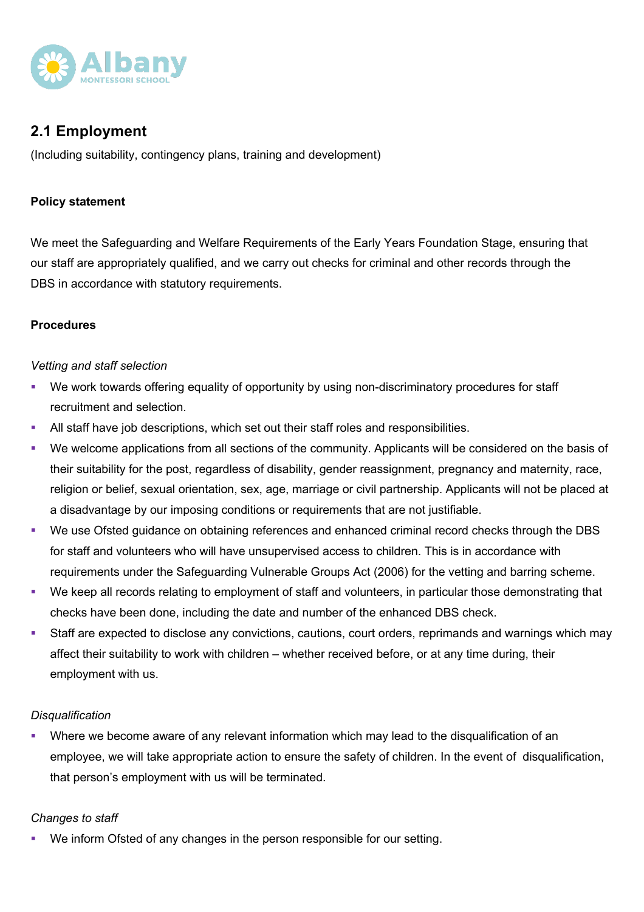

# **2.1 Employment**

(Including suitability, contingency plans, training and development)

## **Policy statement**

We meet the Safeguarding and Welfare Requirements of the Early Years Foundation Stage, ensuring that our staff are appropriately qualified, and we carry out checks for criminal and other records through the DBS in accordance with statutory requirements.

#### **Procedures**

### *Vetting and staff selection*

- We work towards offering equality of opportunity by using non-discriminatory procedures for staff recruitment and selection.
- **All staff have job descriptions, which set out their staff roles and responsibilities.**
- We welcome applications from all sections of the community. Applicants will be considered on the basis of their suitability for the post, regardless of disability, gender reassignment, pregnancy and maternity, race, religion or belief, sexual orientation, sex, age, marriage or civil partnership. Applicants will not be placed at a disadvantage by our imposing conditions or requirements that are not justifiable.
- We use Ofsted guidance on obtaining references and enhanced criminal record checks through the DBS for staff and volunteers who will have unsupervised access to children. This is in accordance with requirements under the Safeguarding Vulnerable Groups Act (2006) for the vetting and barring scheme.
- We keep all records relating to employment of staff and volunteers, in particular those demonstrating that checks have been done, including the date and number of the enhanced DBS check.
- Staff are expected to disclose any convictions, cautions, court orders, reprimands and warnings which may affect their suitability to work with children – whether received before, or at any time during, their employment with us.

#### *Disqualification*

Where we become aware of any relevant information which may lead to the disqualification of an employee, we will take appropriate action to ensure the safety of children. In the event of disqualification, that person's employment with us will be terminated.

# *Changes to staff*

We inform Ofsted of any changes in the person responsible for our setting.